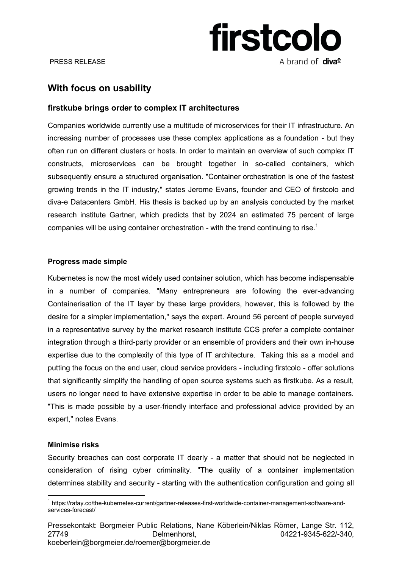

# **With focus on usability**

## **firstkube brings order to complex IT architectures**

Companies worldwide currently use a multitude of microservices for their IT infrastructure. An increasing number of processes use these complex applications as a foundation - but they often run on different clusters or hosts. In order to maintain an overview of such complex IT constructs, microservices can be brought together in so-called containers, which subsequently ensure a structured organisation. "Container orchestration is one of the fastest growing trends in the IT industry," states Jerome Evans, founder and CEO of firstcolo and diva-e Datacenters GmbH. His thesis is backed up by an analysis conducted by the market research institute Gartner, which predicts that by 2024 an estimated 75 percent of large companies will be using container orchestration - with the trend continuing to rise.<sup>1</sup>

### **Progress made simple**

Kubernetes is now the most widely used container solution, which has become indispensable in a number of companies. "Many entrepreneurs are following the ever-advancing Containerisation of the IT layer by these large providers, however, this is followed by the desire for a simpler implementation," says the expert. Around 56 percent of people surveyed in a representative survey by the market research institute CCS prefer a complete container integration through a third-party provider or an ensemble of providers and their own in-house expertise due to the complexity of this type of IT architecture. Taking this as a model and putting the focus on the end user, cloud service providers - including firstcolo - offer solutions that significantly simplify the handling of open source systems such as firstkube. As a result, users no longer need to have extensive expertise in order to be able to manage containers. "This is made possible by a user-friendly interface and professional advice provided by an expert," notes Evans.

### **Minimise risks**

 $\overline{a}$ 

Security breaches can cost corporate IT dearly - a matter that should not be neglected in consideration of rising cyber criminality. "The quality of a container implementation determines stability and security - starting with the authentication configuration and going all

<sup>1</sup> https://rafay.co/the-kubernetes-current/gartner-releases-first-worldwide-container-management-software-andservices-forecast/